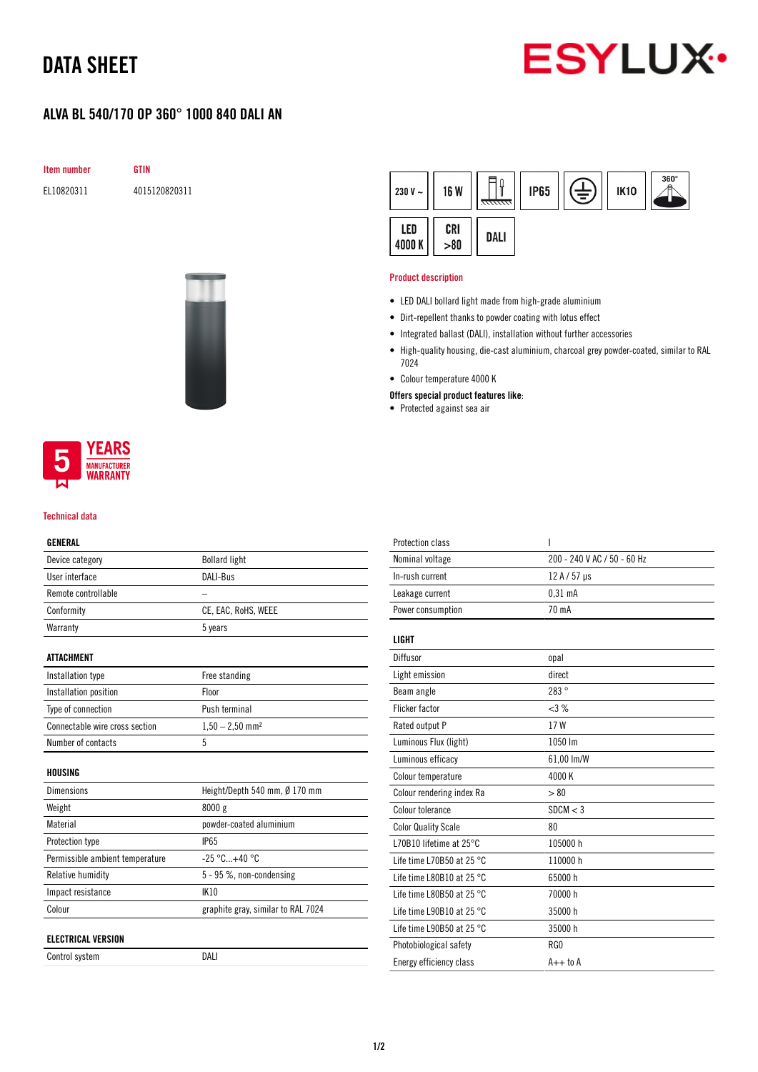## DATA SHEET



### ALVA BL 540/170 OP 360° 1000 840 DALI AN

Item number GTIN

EL10820311 4015120820311



#### $360^\circ$ ∏⊩ 白三 **IP65** 230 V  $\sim$ **16 W IK10** LED CRI DALI 4000K  $> 80$

#### Product description

- LED DALI bollard light made from high-grade aluminium
- Dirt-repellent thanks to powder coating with lotus effect
- Integrated ballast (DALI), installation without further accessories
- High-quality housing, die-cast aluminium, charcoal grey powder-coated, similar to RAL 7024
- Colour temperature 4000 K
- Offers special product features like:
- Protected against sea air



#### Technical data

### GENERAL

| Device category                 | <b>Bollard light</b>               |
|---------------------------------|------------------------------------|
| User interface                  | <b>DALI-Bus</b>                    |
| Remote controllable             |                                    |
| Conformity                      | CE, EAC, RoHS, WEEE                |
| Warranty                        | 5 years                            |
|                                 |                                    |
| ATTACHMENT                      |                                    |
| Installation type               | Free standing                      |
| Installation position           | Floor                              |
| Type of connection              | Push terminal                      |
| Connectable wire cross section  | $1,50 - 2,50$ mm <sup>2</sup>      |
| Number of contacts              | 5                                  |
|                                 |                                    |
| HOUSING                         |                                    |
| <b>Dimensions</b>               | Height/Depth 540 mm, Ø 170 mm      |
| Weight                          | 8000 g                             |
| Material                        | powder-coated aluminium            |
| Protection type                 | <b>IP65</b>                        |
| Permissible ambient temperature | $-25 °C+40 °C$                     |
| Relative humidity               | $5 - 95$ %, non-condensing         |
| Impact resistance               | <b>IK10</b>                        |
| Colour                          | graphite gray, similar to RAL 7024 |
|                                 |                                    |
| <b>ELECTRICAL VERSION</b>       |                                    |
| Control system                  | DALI                               |

| Protection class                    | ı                           |
|-------------------------------------|-----------------------------|
| Nominal voltage                     | 200 - 240 V AC / 50 - 60 Hz |
| In-rush current                     | 12 A / 57 µs                |
| Leakage current                     | $0,31$ mA                   |
| Power consumption                   | 70 mA                       |
| <b>LIGHT</b>                        |                             |
| Diffusor                            | opal                        |
| Light emission                      | direct                      |
| Beam angle                          | 283°                        |
| Flicker factor                      | <3%                         |
| Rated output P                      | 17 W                        |
| Luminous Flux (light)               | 1050 lm                     |
| Luminous efficacy                   | 61,00 lm/W                  |
| Colour temperature                  | 4000K                       |
| Colour rendering index Ra           | > 80                        |
| Colour tolerance                    | SDCM < 3                    |
| <b>Color Quality Scale</b>          | 80                          |
| L70B10 lifetime at 25°C             | 105000 h                    |
| Life time L70B50 at 25 $^{\circ}$ C | 110000 h                    |
| Life time L80B10 at 25 $^{\circ}$ C | 65000h                      |
| Life time L80B50 at 25 $^{\circ}$ C | 70000 h                     |
| Life time L90B10 at 25 °C           | 35000h                      |
| Life time L90B50 at 25 °C           | 35000h                      |
| Photobiological safety              | RG0                         |
| Energy efficiency class             | $A++$ to $A$                |
|                                     |                             |